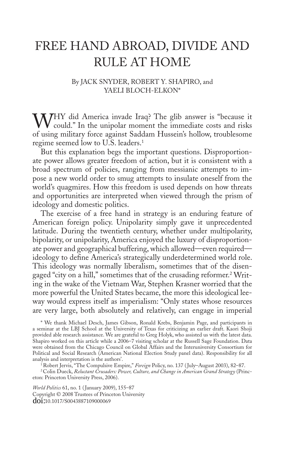# FREE HAND ABROAD, DIVIDE AND RULE aT HOME

# By Jack Snyder, Robert Y. Shapiro, and Yaeli Bloch-Elkon\*

WHY did America invade Iraq? The glib answer is "because it could." In the unipolar moment the immediate costs and risks of using military force against Saddam Hussein's hollow, troublesome regime seemed low to U.S. leaders.1

But this explanation begs the important questions. Disproportionate power allows greater freedom of action, but it is consistent with a broad spectrum of policies, ranging from messianic attempts to impose a new world order to smug attempts to insulate oneself from the world's quagmires. How this freedom is used depends on how threats and opportunities are interpreted when viewed through the prism of ideology and domestic politics.

The exercise of a free hand in strategy is an enduring feature of American foreign policy. Unipolarity simply gave it unprecedented latitude. During the twentieth century, whether under multipolarity, bipolarity, or unipolarity, America enjoyed the luxury of disproportionate power and geographical buffering, which allowed—even required ideology to define America's strategically underdetermined world role. This ideology was normally liberalism, sometimes that of the disengaged "city on a hill," sometimes that of the crusading reformer.2 Writing in the wake of the Vietnam War, Stephen Krasner worried that the more powerful the United States became, the more this ideological leeway would express itself as imperialism: "Only states whose resources are very large, both absolutely and relatively, can engage in imperial

\* We thank Michael Desch, James Gibson, Ronald Krebs, Benjamin Page, and participants in a seminar at the LBJ School at the University of Texas for criticizing an earlier draft. Kaori Shoji provided able research assistance. We are grateful to Greg Holyk, who assisted us with the latest data. Shapiro worked on this article while a 2006–7 visiting scholar at the Russell Sage Foundation. Data were obtained from the Chicago Council on Global Affairs and the Interuniversity Consortium for Political and Social Research (American National Election Study panel data). Responsibility for all analysis and interpretation is the authors'.

<sup>1</sup> Robert Jervis, "The Compulsive Empire," *Foreign* Policy, no. 137 (July–August 2003), 82–87.

2 Colin Dueck, *Reluctant Crusaders: Power, Culture, and Change in American Grand Strategy* (Princeton: Princeton University Press, 2006).

*World Politics* 61, no. 1 ( January 2009), 155–87 Copyright © 2008 Trustees of Princeton University doi:10.1017/S0043887109000069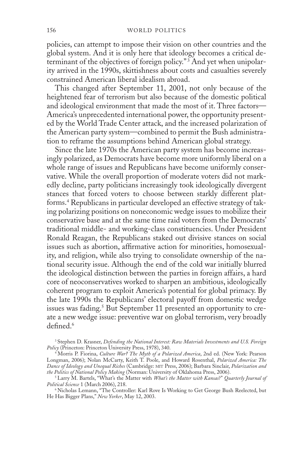policies, can attempt to impose their vision on other countries and the global system. And it is only here that ideology becomes a critical determinant of the objectives of foreign policy."<sup>3</sup> And yet when unipolarity arrived in the 1990s, skittishness about costs and casualties severely constrained American liberal idealism abroad.

This changed after September 11, 2001, not only because of the heightened fear of terrorism but also because of the domestic political and ideological environment that made the most of it. Three factors— America's unprecedented international power, the opportunity presented by the World Trade Center attack, and the increased polarization of the American party system—combined to permit the Bush administration to reframe the assumptions behind American global strategy.

Since the late 1970s the American party system has become increasingly polarized, as Democrats have become more uniformly liberal on a whole range of issues and Republicans have become uniformly conservative. While the overall proportion of moderate voters did not markedly decline, party politicians increasingly took ideologically divergent stances that forced voters to choose between starkly different platforms.4 Republicans in particular developed an effective strategy of taking polarizing positions on noneconomic wedge issues to mobilize their conservative base and at the same time raid voters from the Democrats' traditional middle- and working-class constituencies. Under President Ronald Reagan, the Republicans staked out divisive stances on social issues such as abortion, affirmative action for minorities, homosexuality, and religion, while also trying to consolidate ownership of the national security issue. Although the end of the cold war initially blurred the ideological distinction between the parties in foreign affairs, a hard core of neoconservatives worked to sharpen an ambitious, ideologically coherent program to exploit America's potential for global primacy. By the late 1990s the Republicans' electoral payoff from domestic wedge issues was fading.<sup>5</sup> But September 11 presented an opportunity to create a new wedge issue: preventive war on global terrorism, very broadly defined.<sup>6</sup>

6 Nicholas Lemann, "The Controller: Karl Rove Is Working to Get George Bush Reelected, but He Has Bigger Plans," *New Yorker*, May 12, 2003.

<sup>3</sup> Stephen D. Krasner, *Defending the National Interest: Raw Materials Investments and U.S. Foreign Policy* (Princeton: Princeton University Press, 1978), 340.

<sup>4</sup> Morris P. Fiorina, *Culture War? The Myth of a Polarized America*, 2nd ed. (New York: Pearson Longman, 2006); Nolan McCarty, Keith T. Poole, and Howard Rosenthal, *Polarized America: The Dance of Ideology and Unequal Riches* (Cambridge: mit Press, 2006); Barbara Sinclair, *Polarization and the Politics of National Policy Making* (Norman: University of Oklahoma Press, 2006).

<sup>5</sup> Larry M. Bartels, "What's the Matter with *What's the Matter with Kansas*?" *Quarterly Journal of Political Science* 1 (March 2006), 218.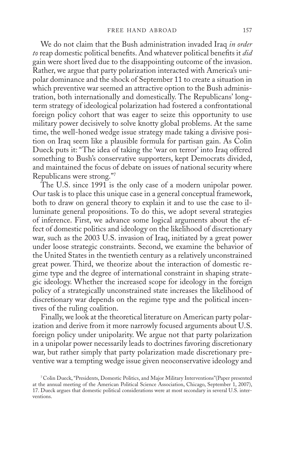We do not claim that the Bush administration invaded Iraq *in order to* reap domestic political benefits. And whatever political benefits it *did* gain were short lived due to the disappointing outcome of the invasion. Rather, we argue that party polarization interacted with America's unipolar dominance and the shock of September 11 to create a situation in which preventive war seemed an attractive option to the Bush administration, both internationally and domestically. The Republicans' longterm strategy of ideological polarization had fostered a confrontational foreign policy cohort that was eager to seize this opportunity to use military power decisively to solve knotty global problems. At the same time, the well-honed wedge issue strategy made taking a divisive position on Iraq seem like a plausible formula for partisan gain. As Colin Dueck puts it: "The idea of taking the 'war on terror' into Iraq offered something to Bush's conservative supporters, kept Democrats divided, and maintained the focus of debate on issues of national security where Republicans were strong."7

The U.S. since 1991 is the only case of a modern unipolar power. Our task is to place this unique case in a general conceptual framework, both to draw on general theory to explain it and to use the case to illuminate general propositions. To do this, we adopt several strategies of inference. First, we advance some logical arguments about the effect of domestic politics and ideology on the likelihood of discretionary war, such as the 2003 U.S. invasion of Iraq, initiated by a great power under loose strategic constraints. Second, we examine the behavior of the United States in the twentieth century as a relatively unconstrained great power. Third, we theorize about the interaction of domestic regime type and the degree of international constraint in shaping strategic ideology. Whether the increased scope for ideology in the foreign policy of a strategically unconstrained state increases the likelihood of discretionary war depends on the regime type and the political incentives of the ruling coalition.

Finally, we look at the theoretical literature on American party polarization and derive from it more narrowly focused arguments about U.S. foreign policy under unipolarity. We argue not that party polarization in a unipolar power necessarily leads to doctrines favoring discretionary war, but rather simply that party polarization made discretionary preventive war a tempting wedge issue given neoconservative ideology and

<sup>7</sup> Colin Dueck, "Presidents, Domestic Politics, and Major Military Interventions"(Paper presented at the annual meeting of the American Political Science Association, Chicago, September 1, 2007), 17. Dueck argues that domestic political considerations were at most secondary in several U.S. interventions.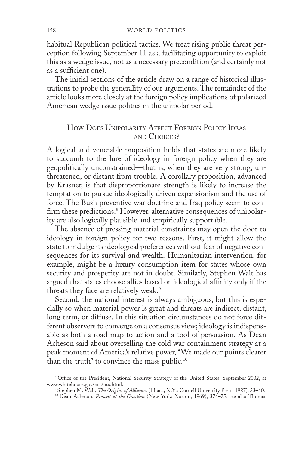habitual Republican political tactics. We treat rising public threat perception following September 11 as a facilitating opportunity to exploit this as a wedge issue, not as a necessary precondition (and certainly not as a sufficient one).

The initial sections of the article draw on a range of historical illustrations to probe the generality of our arguments. The remainder of the article looks more closely at the foreign policy implications of polarized American wedge issue politics in the unipolar period.

# How Does Unipolarity Affect Foreign Policy Ideas and Choices?

A logical and venerable proposition holds that states are more likely to succumb to the lure of ideology in foreign policy when they are geopolitically unconstrained—that is, when they are very strong, unthreatened, or distant from trouble. A corollary proposition, advanced by Krasner, is that disproportionate strength is likely to increase the temptation to pursue ideologically driven expansionism and the use of force. The Bush preventive war doctrine and Iraq policy seem to confirm these predictions.<sup>8</sup> However, alternative consequences of unipolarity are also logically plausible and empirically supportable.

The absence of pressing material constraints may open the door to ideology in foreign policy for two reasons. First, it might allow the state to indulge its ideological preferences without fear of negative consequences for its survival and wealth. Humanitarian intervention, for example, might be a luxury consumption item for states whose own security and prosperity are not in doubt. Similarly, Stephen Walt has argued that states choose allies based on ideological affinity only if the threats they face are relatively weak.<sup>9</sup>

Second, the national interest is always ambiguous, but this is especially so when material power is great and threats are indirect, distant, long term, or diffuse. In this situation circumstances do not force different observers to converge on a consensus view; ideology is indispensable as both a road map to action and a tool of persuasion. As Dean Acheson said about overselling the cold war containment strategy at a peak moment of America's relative power, "We made our points clearer than the truth" to convince the mass public.<sup>10</sup>

<sup>8</sup> Office of the President, National Security Strategy of the United States, September 2002, at www.whitehouse.gov/nsc/nss.html.

<sup>9</sup> Stephen M. Walt, *The Origins of Alliances* (Ithaca, N.Y.: Cornell University Press, 1987), 33–40.

<sup>10</sup> Dean Acheson, *Present at the Creation* (New York: Norton, 1969), 374–75; see also Thomas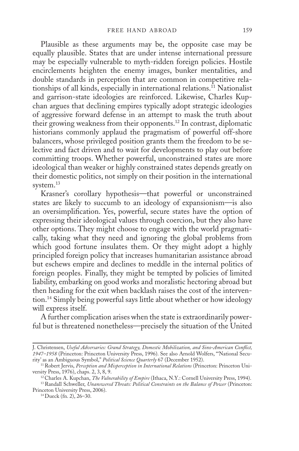Plausible as these arguments may be, the opposite case may be equally plausible. States that are under intense international pressure may be especially vulnerable to myth-ridden foreign policies. Hostile encirclements heighten the enemy images, bunker mentalities, and double standards in perception that are common in competitive relationships of all kinds, especially in international relations.<sup>11</sup> Nationalist and garrison-state ideologies are reinforced. Likewise, Charles Kupchan argues that declining empires typically adopt strategic ideologies of aggressive forward defense in an attempt to mask the truth about their growing weakness from their opponents.12 In contrast, diplomatic historians commonly applaud the pragmatism of powerful off-shore balancers, whose privileged position grants them the freedom to be selective and fact driven and to wait for developments to play out before committing troops. Whether powerful, unconstrained states are more ideological than weaker or highly constrained states depends greatly on their domestic politics, not simply on their position in the international system.<sup>13</sup>

Krasner's corollary hypothesis—that powerful or unconstrained states are likely to succumb to an ideology of expansionism—is also an oversimplification. Yes, powerful, secure states have the option of expressing their ideological values through coercion, but they also have other options. They might choose to engage with the world pragmatically, taking what they need and ignoring the global problems from which good fortune insulates them. Or they might adopt a highly principled foreign policy that increases humanitarian assistance abroad but eschews empire and declines to meddle in the internal politics of foreign peoples. Finally, they might be tempted by policies of limited liability, embarking on good works and moralistic hectoring abroad but then heading for the exit when backlash raises the cost of the intervention.14 Simply being powerful says little about whether or how ideology will express itself.

A further complication arises when the state is extraordinarily powerful but is threatened nonetheless—precisely the situation of the United

J. Christensen, *Useful Adversaries: Grand Strategy, Domestic Mobilization, and Sino-American Conflict, 1947–1958* (Princeton: Princeton University Press, 1996). See also Arnold Wolfers, "'National Security' as an Ambiguous Symbol," *Political Science Quarterly* 67 (December 1952).

<sup>&</sup>lt;sup>11</sup> Robert Jervis, *Perception and Misperception in International Relations* (Princeton: Princeton University Press, 1976), chaps. 2, 3, 8, 9.

<sup>&</sup>lt;sup>12</sup> Charles A. Kupchan, *The Vulnerability of Empire* (Ithaca, N.Y.: Cornell University Press, 1994).

<sup>13</sup> Randall Schweller, *Unanswered Threats: Political Constraints on the Balance of Power* (Princeton: Princeton University Press, 2006).

<sup>14</sup> Dueck (fn. 2), 26–30.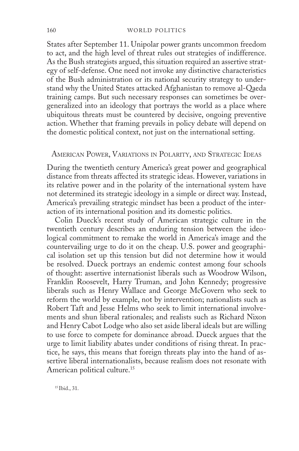#### 160 WORLD POLITICS

States after September 11. Unipolar power grants uncommon freedom to act, and the high level of threat rules out strategies of indifference. As the Bush strategists argued, this situation required an assertive strategy of self-defense. One need not invoke any distinctive characteristics of the Bush administration or its national security strategy to understand why the United States attacked Afghanistan to remove al-Qaeda training camps. But such necessary responses can sometimes be overgeneralized into an ideology that portrays the world as a place where ubiquitous threats must be countered by decisive, ongoing preventive action. Whether that framing prevails in policy debate will depend on the domestic political context, not just on the international setting.

### American Power, Variations in Polarity, and Strategic Ideas

During the twentieth century America's great power and geographical distance from threats affected its strategic ideas. However, variations in its relative power and in the polarity of the international system have not determined its strategic ideology in a simple or direct way. Instead, America's prevailing strategic mindset has been a product of the interaction of its international position and its domestic politics.

Colin Dueck's recent study of American strategic culture in the twentieth century describes an enduring tension between the ideological commitment to remake the world in America's image and the countervailing urge to do it on the cheap. U.S. power and geographical isolation set up this tension but did not determine how it would be resolved. Dueck portrays an endemic contest among four schools of thought: assertive internationist liberals such as Woodrow Wilson, Franklin Roosevelt, Harry Truman, and John Kennedy; progressive liberals such as Henry Wallace and George McGovern who seek to reform the world by example, not by intervention; nationalists such as Robert Taft and Jesse Helms who seek to limit international involvements and shun liberal rationales; and realists such as Richard Nixon and Henry Cabot Lodge who also set aside liberal ideals but are willing to use force to compete for dominance abroad. Dueck argues that the urge to limit liability abates under conditions of rising threat. In practice, he says, this means that foreign threats play into the hand of assertive liberal internationalists, because realism does not resonate with American political culture.<sup>15</sup>

15 Ibid., 31.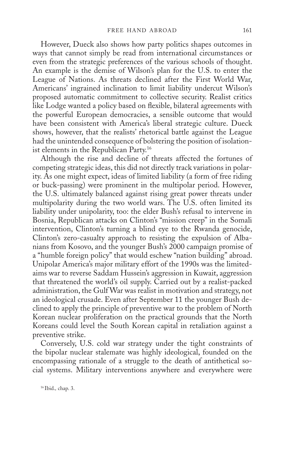However, Dueck also shows how party politics shapes outcomes in ways that cannot simply be read from international circumstances or even from the strategic preferences of the various schools of thought. An example is the demise of Wilson's plan for the U.S. to enter the League of Nations. As threats declined after the First World War, Americans' ingrained inclination to limit liability undercut Wilson's proposed automatic commitment to collective security. Realist critics like Lodge wanted a policy based on flexible, bilateral agreements with the powerful European democracies, a sensible outcome that would have been consistent with America's liberal strategic culture. Dueck shows, however, that the realists' rhetorical battle against the League had the unintended consequence of bolstering the position of isolationist elements in the Republican Party.16

Although the rise and decline of threats affected the fortunes of competing strategic ideas, this did not directly track variations in polarity. As one might expect, ideas of limited liability (a form of free riding or buck-passing) were prominent in the multipolar period. However, the U.S. ultimately balanced against rising great power threats under multipolarity during the two world wars. The U.S. often limited its liability under unipolarity, too: the elder Bush's refusal to intervene in Bosnia, Republican attacks on Clinton's "mission creep" in the Somali intervention, Clinton's turning a blind eye to the Rwanda genocide, Clinton's zero-casualty approach to resisting the expulsion of Albanians from Kosovo, and the younger Bush's 2000 campaign promise of a "humble foreign policy" that would eschew "nation building" abroad. Unipolar America's major military effort of the 1990s was the limitedaims war to reverse Saddam Hussein's aggression in Kuwait, aggression that threatened the world's oil supply. Carried out by a realist-packed administration, the Gulf War was realist in motivation and strategy, not an ideological crusade. Even after September 11 the younger Bush declined to apply the principle of preventive war to the problem of North Korean nuclear proliferation on the practical grounds that the North Koreans could level the South Korean capital in retaliation against a preventive strike.

Conversely, U.S. cold war strategy under the tight constraints of the bipolar nuclear stalemate was highly ideological, founded on the encompassing rationale of a struggle to the death of antithetical social systems. Military interventions anywhere and everywhere were

16 Ibid.*,* chap. 3.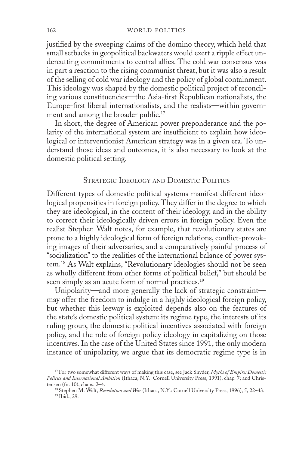#### 162 world politics

justified by the sweeping claims of the domino theory, which held that small setbacks in geopolitical backwaters would exert a ripple effect undercutting commitments to central allies. The cold war consensus was in part a reaction to the rising communist threat, but it was also a result of the selling of cold war ideology and the policy of global containment. This ideology was shaped by the domestic political project of reconciling various constituencies—the Asia-first Republican nationalists, the Europe-first liberal internationalists, and the realists—within government and among the broader public.<sup>17</sup>

In short, the degree of American power preponderance and the polarity of the international system are insufficient to explain how ideological or interventionist American strategy was in a given era. To understand those ideas and outcomes, it is also necessary to look at the domestic political setting.

### Strategic Ideology and Domestic Politics

Different types of domestic political systems manifest different ideological propensities in foreign policy. They differ in the degree to which they are ideological, in the content of their ideology, and in the ability to correct their ideologically driven errors in foreign policy. Even the realist Stephen Walt notes, for example, that revolutionary states are prone to a highly ideological form of foreign relations, conflict-provoking images of their adversaries, and a comparatively painful process of "socialization" to the realities of the international balance of power system.18 As Walt explains, "Revolutionary ideologies should not be seen as wholly different from other forms of political belief," but should be seen simply as an acute form of normal practices.<sup>19</sup>

Unipolarity—and more generally the lack of strategic constraint may offer the freedom to indulge in a highly ideological foreign policy, but whether this leeway is exploited depends also on the features of the state's domestic political system: its regime type, the interests of its ruling group, the domestic political incentives associated with foreign policy, and the role of foreign policy ideology in capitalizing on those incentives. In the case of the United States since 1991, the only modern instance of unipolarity, we argue that its democratic regime type is in

<sup>17</sup> For two somewhat different ways of making this case, see Jack Snyder, *Myths of Empire: Domestic Politics and International Ambition* (Ithaca, N.Y.: Cornell University Press, 1991), chap. 7; and Christensen (fn. 10), chaps. 2–4.

<sup>18</sup> Stephen M. Walt, *Revolution and War* (Ithaca, N.Y.: Cornell University Press, 1996), 5, 22–43. 19 Ibid., 29.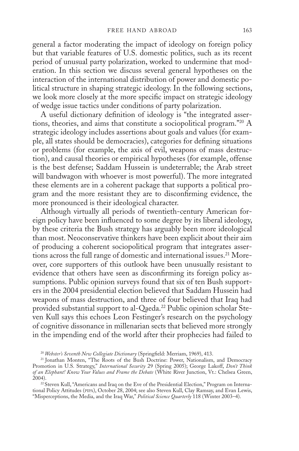general a factor moderating the impact of ideology on foreign policy but that variable features of U.S. domestic politics, such as its recent period of unusual party polarization, worked to undermine that moderation. In this section we discuss several general hypotheses on the interaction of the international distribution of power and domestic political structure in shaping strategic ideology. In the following sections, we look more closely at the more specific impact on strategic ideology of wedge issue tactics under conditions of party polarization.

A useful dictionary definition of ideology is "the integrated assertions, theories, and aims that constitute a sociopolitical program."20 A strategic ideology includes assertions about goals and values (for example, all states should be democracies), categories for defining situations or problems (for example, the axis of evil, weapons of mass destruction), and causal theories or empirical hypotheses (for example, offense is the best defense; Saddam Hussein is undeterrable; the Arab street will bandwagon with whoever is most powerful). The more integrated these elements are in a coherent package that supports a political program and the more resistant they are to disconfirming evidence, the more pronounced is their ideological character.

Although virtually all periods of twentieth-century American foreign policy have been influenced to some degree by its liberal ideology, by these criteria the Bush strategy has arguably been more ideological than most. Neoconservative thinkers have been explicit about their aim of producing a coherent sociopolitical program that integrates assertions across the full range of domestic and international issues.<sup>21</sup> Moreover, core supporters of this outlook have been unusually resistant to evidence that others have seen as disconfirming its foreign policy assumptions. Public opinion surveys found that six of ten Bush supporters in the 2004 presidential election believed that Saddam Hussein had weapons of mass destruction, and three of four believed that Iraq had provided substantial support to al-Qaeda.<sup>22</sup> Public opinion scholar Steven Kull says this echoes Leon Festinger's research on the psychology of cognitive dissonance in millenarian sects that believed more strongly in the impending end of the world after their prophecies had failed to

<sup>20</sup>*Webster's Seventh New Collegiate Dictionary* (Springfield: Merriam, 1969), 413.

<sup>21</sup> Jonathan Monten, "The Roots of the Bush Doctrine: Power, Nationalism, and Democracy Promotion in U.S. Strategy," *International Security* 29 (Spring 2005); George Lakoff, *Don't Think of an Elephant! Know Your Values and Frame the Debate* (White River Junction, Vt.: Chelsea Green, 2004).

<sup>22</sup> Steven Kull, "Americans and Iraq on the Eve of the Presidential Election," Program on International Policy Attitudes (pipa), October 28, 2004; see also Steven Kull, Clay Ramsay, and Evan Lewis, "Misperceptions, the Media, and the Iraq War," *Political Science Quarterly* 118 (Winter 2003–4).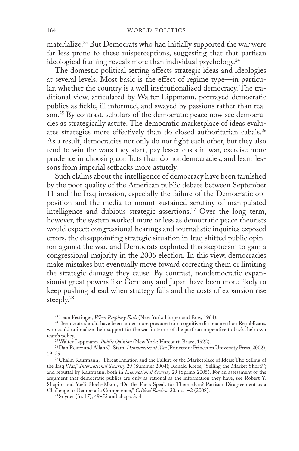materialize.<sup>23</sup> But Democrats who had initially supported the war were far less prone to these misperceptions, suggesting that that partisan ideological framing reveals more than individual psychology.<sup>24</sup>

The domestic political setting affects strategic ideas and ideologies at several levels. Most basic is the effect of regime type—in particular, whether the country is a well institutionalized democracy. The traditional view, articulated by Walter Lippmann, portrayed democratic publics as fickle, ill informed, and swayed by passions rather than reason.<sup>25</sup> By contrast, scholars of the democratic peace now see democracies as strategically astute. The democratic marketplace of ideas evaluates strategies more effectively than do closed authoritarian cabals.26 As a result, democracies not only do not fight each other, but they also tend to win the wars they start, pay lesser costs in war, exercise more prudence in choosing conflicts than do nondemocracies, and learn lessons from imperial setbacks more astutely.

Such claims about the intelligence of democracy have been tarnished by the poor quality of the American public debate between September 11 and the Iraq invasion, especially the failure of the Democratic opposition and the media to mount sustained scrutiny of manipulated intelligence and dubious strategic assertions.<sup>27</sup> Over the long term, however, the system worked more or less as democratic peace theorists would expect: congressional hearings and journalistic inquiries exposed errors, the disappointing strategic situation in Iraq shifted public opinion against the war, and Democrats exploited this skepticism to gain a congressional majority in the 2006 election. In this view, democracies make mistakes but eventually move toward correcting them or limiting the strategic damage they cause. By contrast, nondemocratic expansionist great powers like Germany and Japan have been more likely to keep pushing ahead when strategy fails and the costs of expansion rise steeply.<sup>28</sup>

23 Leon Festinger, *When Prophecy Fails* (New York: Harper and Row, 1964).

25 Walter Lippmann, *Public Opinion* (New York: Harcourt, Brace, 1922).

26 Dan Reiter and Allan C. Stam, *Democracies at War* (Princeton: Princeton University Press, 2002), 19–25.

28 Snyder (fn. 17), 49–52 and chaps. 3, 4.

<sup>&</sup>lt;sup>24</sup> Democrats should have been under more pressure from cognitive dissonance than Republicans, who could rationalize their support for the war in terms of the partisan imperative to back their own team's policy.

<sup>&</sup>lt;sup>27</sup> Chaim Kaufmann, "Threat Inflation and the Failure of the Marketplace of Ideas: The Selling of the Iraq War," *International Security* 29 (Summer 2004); Ronald Krebs, "Selling the Market Short?"; and rebuttal by Kaufmann, both in *International Security* 29 (Spring 2005). For an assessment of the argument that democratic publics are only as rational as the information they have, see Robert Y. Shapiro and Yaeli Bloch-Elkon, "Do the Facts Speak for Themselves? Partisan Disagreement as a Challenge to Democratic Competence," *Critical Review* 20, no.1–2 (2008).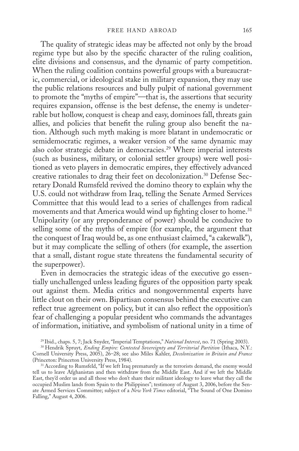The quality of strategic ideas may be affected not only by the broad regime type but also by the specific character of the ruling coalition, elite divisions and consensus, and the dynamic of party competition. When the ruling coalition contains powerful groups with a bureaucratic, commercial, or ideological stake in military expansion, they may use the public relations resources and bully pulpit of national government to promote the "myths of empire"—that is, the assertions that security requires expansion, offense is the best defense, the enemy is undeterrable but hollow, conquest is cheap and easy, dominoes fall, threats gain allies, and policies that benefit the ruling group also benefit the nation. Although such myth making is more blatant in undemocratic or semidemocratic regimes, a weaker version of the same dynamic may also color strategic debate in democracies.<sup>29</sup> Where imperial interests (such as business, military, or colonial settler groups) were well positioned as veto players in democratic empires, they effectively advanced creative rationales to drag their feet on decolonization.<sup>30</sup> Defense Secretary Donald Rumsfeld revived the domino theory to explain why the U.S. could not withdraw from Iraq, telling the Senate Armed Services Committee that this would lead to a series of challenges from radical movements and that America would wind up fighting closer to home.<sup>31</sup> Unipolarity (or any preponderance of power) should be conducive to selling some of the myths of empire (for example, the argument that the conquest of Iraq would be, as one enthusiast claimed, "a cakewalk"), but it may complicate the selling of others (for example, the assertion that a small, distant rogue state threatens the fundamental security of the superpower).

Even in democracies the strategic ideas of the executive go essentially unchallenged unless leading figures of the opposition party speak out against them. Media critics and nongovernmental experts have little clout on their own. Bipartisan consensus behind the executive can reflect true agreement on policy, but it can also reflect the opposition's fear of challenging a popular president who commands the advantages of information, initiative, and symbolism of national unity in a time of

<sup>29</sup> Ibid., chaps. 5, 7; Jack Snyder, "Imperial Temptations," *National Interest*, no. 71 (Spring 2003).

<sup>30</sup> Hendrik Spruyt, *Ending Empire: Contested Sovereignty and Territorial Partition* (Ithaca, N.Y.: Cornell University Press, 2005), 26–28; see also Miles Kahler, *Decolonization in Britain and France* (Princeton: Princeton University Press, 1984).

<sup>&</sup>lt;sup>31</sup> According to Rumsfeld, "If we left Iraq prematurely as the terrorists demand, the enemy would tell us to leave Afghanistan and then withdraw from the Middle East. And if we left the Middle East, they'd order us and all those who don't share their militant ideology to leave what they call the occupied Muslim lands from Spain to the Philippines"; testimony of August 3, 2006, before the Senate Armed Services Committee; subject of a *New York Times* editorial, "The Sound of One Domino Falling," August 4, 2006.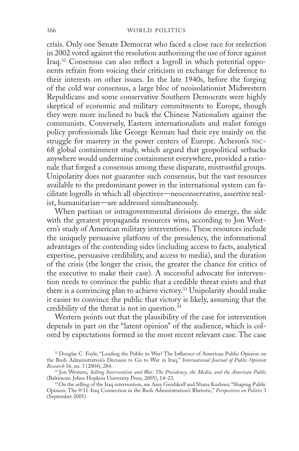crisis. Only one Senate Democrat who faced a close race for reelection in 2002 voted against the resolution authorizing the use of force against Iraq.32 Consensus can also reflect a logroll in which potential opponents refrain from voicing their criticism in exchange for deference to their interests on other issues. In the late 1940s, before the forging of the cold war consensus, a large bloc of neoisolationist Midwestern Republicans and some conservative Southern Democrats were highly skeptical of economic and military commitments to Europe, though they were more inclined to back the Chinese Nationalists against the communists. Conversely, Eastern internationalists and realist foreign policy professionals like George Kennan had their eye mainly on the struggle for mastery in the power centers of Europe. Acheson's nsc-68 global containment study, which argued that geopolitical setbacks anywhere would undermine containment everywhere, provided a rationale that forged a consensus among these disparate, mistrustful groups. Unipolarity does not guarantee such consensus, but the vast resources available to the predominant power in the international system can facilitate logrolls in which all objectives—neoconservative, assertive realist, humanitarian—are addressed simultaneously.

When partisan or intragovernmental divisions do emerge, the side with the greatest propaganda resources wins, according to Jon Western's study of American military interventions. These resources include the uniquely persuasive platform of the presidency, the informational advantages of the contending sides (including access to facts, analytical expertise, persuasive credibility, and access to media), and the duration of the crisis (the longer the crisis, the greater the chance for critics of the executive to make their case). A successful advocate for intervention needs to convince the public that a credible threat exists and that there is a convincing plan to achieve victory.33 Unipolarity should make it easier to convince the public that victory is likely, assuming that the credibility of the threat is not in question.<sup>34</sup>

Western points out that the plausibility of the case for intervention depends in part on the "latent opinion" of the audience, which is colored by expectations formed in the most recent relevant case. The case

<sup>32</sup> Douglas C. Foyle, "Leading the Public to War? The Influence of American Public Opinion on the Bush Administration's Decision to Go to War in Iraq," *International Journal of Public Opinion Research* 16, no. 3 (2004), 284.

<sup>33</sup> Jon Western, *Selling Intervention and War: The Presidency, the Media, and the American Public* (Baltimore: Johns Hopkins University Press, 2005), 14–23.

<sup>&</sup>lt;sup>34</sup> On the selling of the Iraq intervention, see Amy Gershkoff and Shana Kushner, "Shaping Public Opinion: The 9/11-Iraq Connection in the Bush Administration's Rhetoric," *Perspectives on Politics* 3 (September 2005).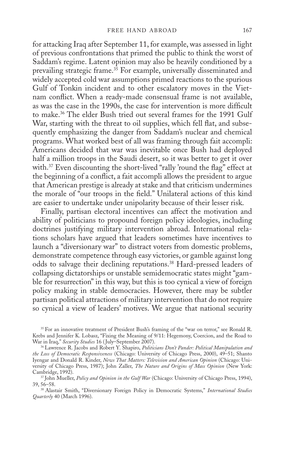for attacking Iraq after September 11, for example, was assessed in light of previous confrontations that primed the public to think the worst of Saddam's regime. Latent opinion may also be heavily conditioned by a prevailing strategic frame.<sup>35</sup> For example, universally disseminated and widely accepted cold war assumptions primed reactions to the spurious Gulf of Tonkin incident and to other escalatory moves in the Vietnam conflict. When a ready-made consensual frame is not available, as was the case in the 1990s, the case for intervention is more difficult to make.36 The elder Bush tried out several frames for the 1991 Gulf War, starting with the threat to oil supplies, which fell flat, and subsequently emphasizing the danger from Saddam's nuclear and chemical programs. What worked best of all was framing through fait accompli: Americans decided that war was inevitable once Bush had deployed half a million troops in the Saudi desert, so it was better to get it over with.<sup>37</sup> Even discounting the short-lived "rally 'round the flag" effect at the beginning of a conflict, a fait accompli allows the president to argue that American prestige is already at stake and that criticism undermines the morale of "our troops in the field." Unilateral actions of this kind are easier to undertake under unipolarity because of their lesser risk.

Finally, partisan electoral incentives can affect the motivation and ability of politicians to propound foreign policy ideologies, including doctrines justifying military intervention abroad. International relations scholars have argued that leaders sometimes have incentives to launch a "diversionary war" to distract voters from domestic problems, demonstrate competence through easy victories, or gamble against long odds to salvage their declining reputations.38 Hard-pressed leaders of collapsing dictatorships or unstable semidemocratic states might "gamble for resurrection" in this way, but this is too cynical a view of foreign policy making in stable democracies. However, there may be subtler partisan political attractions of military intervention that do not require so cynical a view of leaders' motives. We argue that national security

<sup>35</sup> For an innovative treatment of President Bush's framing of the "war on terror," see Ronald R. Krebs and Jennifer K. Lobasz, "Fixing the Meaning of 9/11: Hegemony, Coercion, and the Road to War in Iraq," *Security Studies* 16 ( July–September 2007).

<sup>36</sup> Lawrence R. Jacobs and Robert Y. Shapiro, *Politicians Don't Pander: Political Manipulation and the Loss of Democratic Responsiveness* (Chicago: University of Chicago Press, 2000), 49–51; Shanto Iyengar and Donald R. Kinder, *News That Matters: Television and American Opinion* (Chicago: University of Chicago Press, 1987); John Zaller, *The Nature and Origins of Mass Opinion* (New York: Cambridge, 1992).

<sup>37</sup> John Mueller, *Policy and Opinion in the Gulf War* (Chicago: University of Chicago Press, 1994), 39, 56–58.

<sup>38</sup> Alastair Smith, "Diversionary Foreign Policy in Democratic Systems," *International Studies Quarterly* 40 (March 1996).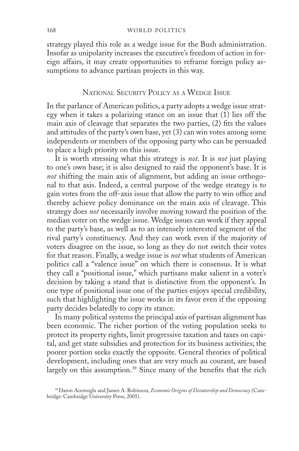strategy played this role as a wedge issue for the Bush administration. Insofar as unipolarity increases the executive's freedom of action in foreign affairs, it may create opportunities to reframe foreign policy assumptions to advance partisan projects in this way.

### National Security Policy as <sup>a</sup> Wedge Issue

In the parlance of American politics, a party adopts a wedge issue strategy when it takes a polarizing stance on an issue that  $(1)$  lies off the main axis of cleavage that separates the two parties, (2) fits the values and attitudes of the party's own base, yet (3) can win votes among some independents or members of the opposing party who can be persuaded to place a high priority on this issue.

It is worth stressing what this strategy is *not*. It is *not* just playing to one's own base; it is also designed to raid the opponent's base. It is *not* shifting the main axis of alignment, but adding an issue orthogonal to that axis. Indeed, a central purpose of the wedge strategy is to gain votes from the off-axis issue that allow the party to win office and thereby achieve policy dominance on the main axis of cleavage. This strategy does *not* necessarily involve moving toward the position of the median voter on the wedge issue. Wedge issues can work if they appeal to the party's base, as well as to an intensely interested segment of the rival party's constituency. And they can work even if the majority of voters disagree on the issue, so long as they do not switch their votes for that reason. Finally, a wedge issue is *not* what students of American politics call a "valence issue" on which there is consensus. It is what they call a "positional issue," which partisans make salient in a voter's decision by taking a stand that is distinctive from the opponent's. In one type of positional issue one of the parties enjoys special credibility, such that highlighting the issue works in its favor even if the opposing party decides belatedly to copy its stance.

In many political systems the principal axis of partisan alignment has been economic. The richer portion of the voting population seeks to protect its property rights, limit progressive taxation and taxes on capital, and get state subsidies and protection for its business activities; the poorer portion seeks exactly the opposite. General theories of political development, including ones that are very much au courant, are based largely on this assumption.<sup>39</sup> Since many of the benefits that the rich

<sup>39</sup> Daron Acemoglu and James A. Robinson, *Economic Origins of Dictatorship and Democracy* (Cambridge: Cambridge University Press, 2005).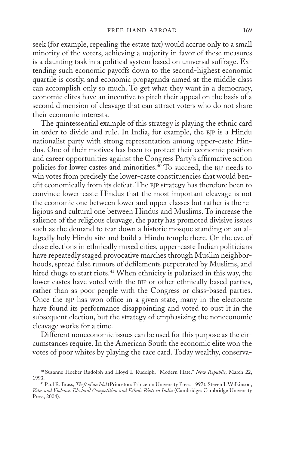seek (for example, repealing the estate tax) would accrue only to a small minority of the voters, achieving a majority in favor of these measures is a daunting task in a political system based on universal suffrage. Extending such economic payoffs down to the second-highest economic quartile is costly, and economic propaganda aimed at the middle class can accomplish only so much. To get what they want in a democracy, economic elites have an incentive to pitch their appeal on the basis of a second dimension of cleavage that can attract voters who do not share their economic interests.

The quintessential example of this strategy is playing the ethnic card in order to divide and rule. In India, for example, the bjp is a Hindu nationalist party with strong representation among upper-caste Hindus. One of their motives has been to protect their economic position and career opportunities against the Congress Party's affirmative action policies for lower castes and minorities.<sup>40</sup> To succeed, the BJP needs to win votes from precisely the lower-caste constituencies that would benefit economically from its defeat. The bjp strategy has therefore been to convince lower-caste Hindus that the most important cleavage is not the economic one between lower and upper classes but rather is the religious and cultural one between Hindus and Muslims. To increase the salience of the religious cleavage, the party has promoted divisive issues such as the demand to tear down a historic mosque standing on an allegedly holy Hindu site and build a Hindu temple there. On the eve of close elections in ethnically mixed cities, upper-caste Indian politicians have repeatedly staged provocative marches through Muslim neighborhoods, spread false rumors of defilements perpetrated by Muslims, and hired thugs to start riots.<sup>41</sup> When ethnicity is polarized in this way, the lower castes have voted with the BJP or other ethnically based parties, rather than as poor people with the Congress or class-based parties. Once the bjp has won office in a given state, many in the electorate have found its performance disappointing and voted to oust it in the subsequent election, but the strategy of emphasizing the noneconomic cleavage works for a time.

Different noneconomic issues can be used for this purpose as the circumstances require. In the American South the economic elite won the votes of poor whites by playing the race card. Today wealthy, conserva-

<sup>40</sup> Susanne Hoeber Rudolph and Lloyd I. Rudolph, "Modern Hate," *New Republic*, March 22, 1993.

<sup>41</sup> Paul R. Brass, *Theft of an Idol* (Princeton: Princeton University Press, 1997); Steven I. Wilkinson, *Votes and Violence: Electoral Competition and Ethnic Riots in India* (Cambridge: Cambridge University Press, 2004).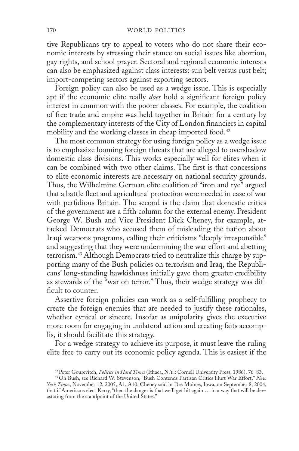tive Republicans try to appeal to voters who do not share their economic interests by stressing their stance on social issues like abortion, gay rights, and school prayer. Sectoral and regional economic interests can also be emphasized against class interests: sun belt versus rust belt; import-competing sectors against exporting sectors.

Foreign policy can also be used as a wedge issue. This is especially apt if the economic elite really *does* hold a significant foreign policy interest in common with the poorer classes. For example, the coalition of free trade and empire was held together in Britain for a century by the complementary interests of the City of London financiers in capital mobility and the working classes in cheap imported food.<sup>42</sup>

The most common strategy for using foreign policy as a wedge issue is to emphasize looming foreign threats that are alleged to overshadow domestic class divisions. This works especially well for elites when it can be combined with two other claims. The first is that concessions to elite economic interests are necessary on national security grounds. Thus, the Wilhelmine German elite coalition of "iron and rye" argued that a battle fleet and agricultural protection were needed in case of war with perfidious Britain. The second is the claim that domestic critics of the government are a fifth column for the external enemy. President George W. Bush and Vice President Dick Cheney, for example, attacked Democrats who accused them of misleading the nation about Iraqi weapons programs, calling their criticisms "deeply irresponsible" and suggesting that they were undermining the war effort and abetting terrorism.43 Although Democrats tried to neutralize this charge by supporting many of the Bush policies on terrorism and Iraq, the Republicans' long-standing hawkishness initially gave them greater credibility as stewards of the "war on terror." Thus, their wedge strategy was difficult to counter.

Assertive foreign policies can work as a self-fulfilling prophecy to create the foreign enemies that are needed to justify these rationales, whether cynical or sincere. Insofar as unipolarity gives the executive more room for engaging in unilateral action and creating faits accomplis, it should facilitate this strategy.

For a wedge strategy to achieve its purpose, it must leave the ruling elite free to carry out its economic policy agenda. This is easiest if the

<sup>42</sup> Peter Gourevitch, *Politics in Hard Times* (Ithaca, N.Y.: Cornell University Press, 1986), 76–83.

<sup>43</sup> On Bush, see Richard W. Stevenson, "Bush Contends Partisan Critics Hurt War Effort," *New York Times*, November 12, 2005, A1, A10; Cheney said in Des Moines, Iowa, on September 8, 2004, that if Americans elect Kerry, "then the danger is that we'll get hit again … in a way that will be devastating from the standpoint of the United States."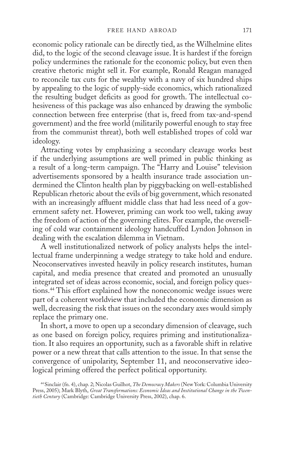economic policy rationale can be directly tied, as the Wilhelmine elites did, to the logic of the second cleavage issue. It is hardest if the foreign policy undermines the rationale for the economic policy, but even then creative rhetoric might sell it. For example, Ronald Reagan managed to reconcile tax cuts for the wealthy with a navy of six hundred ships by appealing to the logic of supply-side economics, which rationalized the resulting budget deficits as good for growth. The intellectual cohesiveness of this package was also enhanced by drawing the symbolic connection between free enterprise (that is, freed from tax-and-spend government) and the free world (militarily powerful enough to stay free from the communist threat), both well established tropes of cold war ideology.

Attracting votes by emphasizing a secondary cleavage works best if the underlying assumptions are well primed in public thinking as a result of a long-term campaign. The "Harry and Louise" television advertisements sponsored by a health insurance trade association undermined the Clinton health plan by piggybacking on well-established Republican rhetoric about the evils of big government, which resonated with an increasingly affluent middle class that had less need of a government safety net. However, priming can work too well, taking away the freedom of action of the governing elites. For example, the overselling of cold war containment ideology handcuffed Lyndon Johnson in dealing with the escalation dilemma in Vietnam.

A well institutionalized network of policy analysts helps the intellectual frame underpinning a wedge strategy to take hold and endure. Neoconservatives invested heavily in policy research institutes, human capital, and media presence that created and promoted an unusually integrated set of ideas across economic, social, and foreign policy questions.44 This effort explained how the noneconomic wedge issues were part of a coherent worldview that included the economic dimension as well, decreasing the risk that issues on the secondary axes would simply replace the primary one.

In short, a move to open up a secondary dimension of cleavage, such as one based on foreign policy, requires priming and institutionalization. It also requires an opportunity, such as a favorable shift in relative power or a new threat that calls attention to the issue. In that sense the convergence of unipolarity, September 11, and neoconservative ideological priming offered the perfect political opportunity.

<sup>44</sup> Sinclair (fn. 4), chap. 2; Nicolas Guilhot, *The Democracy Makers* (New York: Columbia University Press, 2005); Mark Blyth, *Great Transformations: Economic Ideas and Institutional Change in the Twentieth Century* (Cambridge: Cambridge University Press, 2002), chap. 6.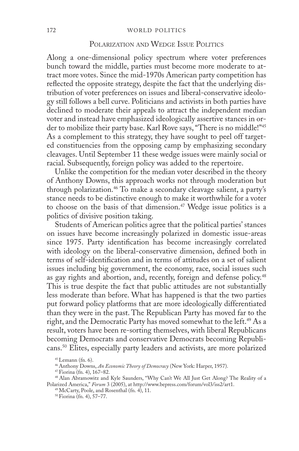# Polarization and Wedge Issue Politics

Along a one-dimensional policy spectrum where voter preferences bunch toward the middle, parties must become more moderate to attract more votes. Since the mid-1970s American party competition has reflected the opposite strategy, despite the fact that the underlying distribution of voter preferences on issues and liberal-conservative ideology still follows a bell curve. Politicians and activists in both parties have declined to moderate their appeals to attract the independent median voter and instead have emphasized ideologically assertive stances in order to mobilize their party base. Karl Rove says, "There is no middle!"45 As a complement to this strategy, they have sought to peel off targeted constituencies from the opposing camp by emphasizing secondary cleavages. Until September 11 these wedge issues were mainly social or racial. Subsequently, foreign policy was added to the repertoire.

Unlike the competition for the median voter described in the theory of Anthony Downs, this approach works not through moderation but through polarization.46 To make a secondary cleavage salient, a party's stance needs to be distinctive enough to make it worthwhile for a voter to choose on the basis of that dimension.<sup>47</sup> Wedge issue politics is a politics of divisive position taking.

Students of American politics agree that the political parties' stances on issues have become increasingly polarized in domestic issue-areas since 1975. Party identification has become increasingly correlated with ideology on the liberal-conservative dimension, defined both in terms of self-identification and in terms of attitudes on a set of salient issues including big government, the economy, race, social issues such as gay rights and abortion, and, recently, foreign and defense policy.<sup>48</sup> This is true despite the fact that public attitudes are not substantially less moderate than before. What has happened is that the two parties put forward policy platforms that are more ideologically differentiated than they were in the past. The Republican Party has moved far to the right, and the Democratic Party has moved somewhat to the left.<sup>49</sup> As a result, voters have been re-sorting themselves, with liberal Republicans becoming Democrats and conservative Democrats becoming Republicans.50 Elites, especially party leaders and activists, are more polarized

<sup>45</sup> Lemann (fn. 6).

<sup>46</sup> Anthony Downs, *An Economic Theory of Democracy* (New York: Harper, 1957).

<sup>47</sup> Fiorina (fn. 4), 167–82.

<sup>48</sup> Alan Abramowitz and Kyle Saunders, "Why Can't We All Just Get Along? The Reality of a Polarized America," *Forum* 3 (2005), at http://www.bepress.com/forum/vol3/iss2/art1.

<sup>49</sup> McCarty, Poole, and Rosenthal (fn. 4), 11.

<sup>50</sup> Fiorina (fn. 4), 57–77.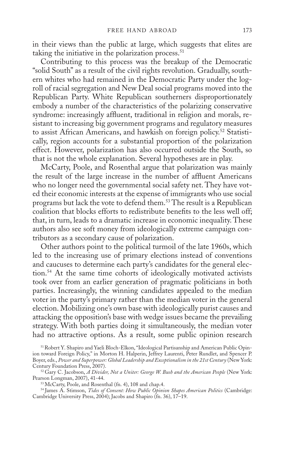in their views than the public at large, which suggests that elites are taking the initiative in the polarization process. $51$ 

Contributing to this process was the breakup of the Democratic "solid South" as a result of the civil rights revolution. Gradually, southern whites who had remained in the Democratic Party under the logroll of racial segregation and New Deal social programs moved into the Republican Party. White Republican southerners disproportionately embody a number of the characteristics of the polarizing conservative syndrome: increasingly affluent, traditional in religion and morals, resistant to increasing big government programs and regulatory measures to assist African Americans, and hawkish on foreign policy.<sup>52</sup> Statistically, region accounts for a substantial proportion of the polarization effect. However, polarization has also occurred outside the South, so that is not the whole explanation. Several hypotheses are in play.

McCarty, Poole, and Rosenthal argue that polarization was mainly the result of the large increase in the number of affluent Americans who no longer need the governmental social safety net. They have voted their economic interests at the expense of immigrants who use social programs but lack the vote to defend them.<sup>53</sup> The result is a Republican coalition that blocks efforts to redistribute benefits to the less well off; that, in turn, leads to a dramatic increase in economic inequality. These authors also see soft money from ideologically extreme campaign contributors as a secondary cause of polarization.

Other authors point to the political turmoil of the late 1960s, which led to the increasing use of primary elections instead of conventions and caucuses to determine each party's candidates for the general election.54 At the same time cohorts of ideologically motivated activists took over from an earlier generation of pragmatic politicians in both parties. Increasingly, the winning candidates appealed to the median voter in the party's primary rather than the median voter in the general election. Mobilizing one's own base with ideologically purist causes and attacking the opposition's base with wedge issues became the prevailing strategy. With both parties doing it simultaneously, the median voter had no attractive options. As a result, some public opinion research

51 Robert Y. Shapiro and Yaeli Bloch-Elkon, "Ideological Partisanship and American Public Opinion toward Foreign Policy," in Morton H. Halperin, Jeffrey Laurenti, Peter Rundlet, and Spencer P. Boyer, eds., *Power and Superpower: Global Leadership and Exceptionalism in the 21st Century* (New York: Century Foundation Press, 2007).

52 Gary C. Jacobson, *A Divider, Not a Uniter: George W. Bush and the American People* (New York: Pearson Longman, 2007), 41-44.

53 McCarty, Poole, and Rosenthal (fn. 4), 108 and chap.4.

54 James A. Stimson, *Tides of Consent: How Public Opinion Shapes American Politics* (Cambridge: Cambridge University Press, 2004); Jacobs and Shapiro (fn. 36), 17–19.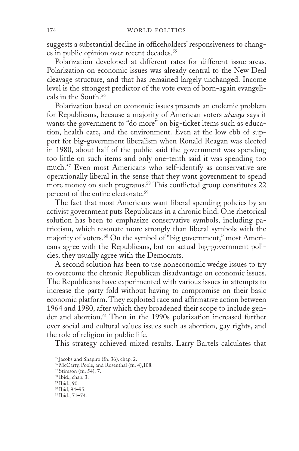suggests a substantial decline in officeholders' responsiveness to changes in public opinion over recent decades.<sup>55</sup>

Polarization developed at different rates for different issue-areas. Polarization on economic issues was already central to the New Deal cleavage structure, and that has remained largely unchanged. Income level is the strongest predictor of the vote even of born-again evangelicals in the South.56

Polarization based on economic issues presents an endemic problem for Republicans, because a majority of American voters *always* says it wants the government to "do more" on big-ticket items such as education, health care, and the environment. Even at the low ebb of support for big-government liberalism when Ronald Reagan was elected in 1980, about half of the public said the government was spending too little on such items and only one-tenth said it was spending too much.57 Even most Americans who self-identify as conservative are operationally liberal in the sense that they want government to spend more money on such programs.<sup>58</sup> This conflicted group constitutes 22 percent of the entire electorate.59

The fact that most Americans want liberal spending policies by an activist government puts Republicans in a chronic bind. One rhetorical solution has been to emphasize conservative symbols, including patriotism, which resonate more strongly than liberal symbols with the majority of voters.<sup>60</sup> On the symbol of "big government," most Americans agree with the Republicans, but on actual big-government policies, they usually agree with the Democrats.

A second solution has been to use noneconomic wedge issues to try to overcome the chronic Republican disadvantage on economic issues. The Republicans have experimented with various issues in attempts to increase the party fold without having to compromise on their basic economic platform. They exploited race and affirmative action between 1964 and 1980, after which they broadened their scope to include gender and abortion.<sup>61</sup> Then in the 1990s polarization increased further over social and cultural values issues such as abortion, gay rights, and the role of religion in public life.

This strategy achieved mixed results. Larry Bartels calculates that

<sup>55</sup> Jacobs and Shapiro (fn. 36)*,* chap. 2.

<sup>56</sup> McCarty, Poole, and Rosenthal (fn. 4),108.

<sup>57</sup> Stimson (fn. 54), 7.

<sup>58</sup> Ibid., chap. 3.

<sup>59</sup> Ibid., 90.

<sup>60</sup> Ibid, 94–95.

<sup>61</sup> Ibid., 71–74.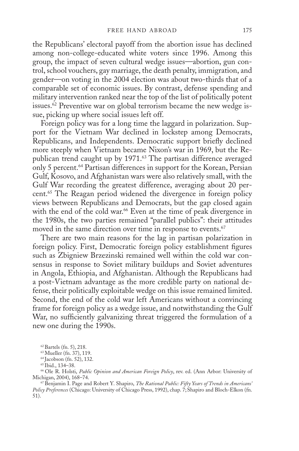the Republicans' electoral payoff from the abortion issue has declined among non-college-educated white voters since 1996. Among this group, the impact of seven cultural wedge issues—abortion, gun control, school vouchers, gay marriage, the death penalty, immigration, and gender—on voting in the 2004 election was about two-thirds that of a comparable set of economic issues. By contrast, defense spending and military intervention ranked near the top of the list of politically potent issues.<sup> $62$ </sup> Preventive war on global terrorism became the new wedge issue, picking up where social issues left off.

Foreign policy was for a long time the laggard in polarization. Support for the Vietnam War declined in lockstep among Democrats, Republicans, and Independents. Democratic support briefly declined more steeply when Vietnam became Nixon's war in 1969, but the Republican trend caught up by 1971.<sup>63</sup> The partisan difference averaged only 5 percent.<sup>64</sup> Partisan differences in support for the Korean, Persian Gulf, Kosovo, and Afghanistan wars were also relatively small, with the Gulf War recording the greatest difference, averaging about 20 percent.65 The Reagan period widened the divergence in foreign policy views between Republicans and Democrats, but the gap closed again with the end of the cold war.<sup>66</sup> Even at the time of peak divergence in the 1980s, the two parties remained "parallel publics": their attitudes moved in the same direction over time in response to events.<sup>67</sup>

There are two main reasons for the lag in partisan polarization in foreign policy. First, Democratic foreign policy establishment figures such as Zbigniew Brzezinski remained well within the cold war consensus in response to Soviet military buildups and Soviet adventures in Angola, Ethiopia, and Afghanistan. Although the Republicans had a post-Vietnam advantage as the more credible party on national defense, their politically exploitable wedge on this issue remained limited. Second, the end of the cold war left Americans without a convincing frame for foreign policy as a wedge issue, and notwithstanding the Gulf War, no sufficiently galvanizing threat triggered the formulation of a new one during the 1990s.

 $62$  Bartels (fn. 5), 218.

<sup>63</sup> Mueller (fn. 37), 119.

<sup>64</sup> Jacobson (fn. 52), 132.

<sup>65</sup> Ibid., 134–38.

<sup>66</sup> Ole R. Holsti, *Public Opinion and American Foreign Policy*, rev. ed. (Ann Arbor: University of Michigan, 2004), 168–74.

<sup>67</sup> Benjamin I. Page and Robert Y. Shapiro, *The Rational Public: Fifty Years of Trends in Americans'*  Policy Preferences (Chicago: University of Chicago Press, 1992), chap. 7; Shapiro and Bloch-Elkon (fn. 51).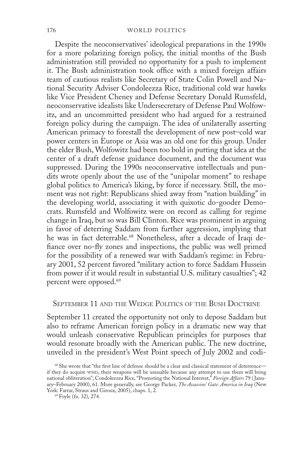Despite the neoconservatives' ideological preparations in the 1990s for a more polarizing foreign policy, the initial months of the Bush administration still provided no opportunity for a push to implement it. The Bush administration took office with a mixed foreign affairs team of cautious realists like Secretary of State Colin Powell and National Security Adviser Condoleezza Rice, traditional cold war hawks like Vice President Cheney and Defense Secretary Donald Rumsfeld, neoconservative idealists like Undersecretary of Defense Paul Wolfowitz, and an uncommitted president who had argued for a restrained foreign policy during the campaign. The idea of unilaterally asserting American primacy to forestall the development of new post–cold war power centers in Europe or Asia was an old one for this group. Under the elder Bush, Wolfowitz had been too bold in putting that idea at the center of a draft defense guidance document, and the document was suppressed. During the 1990s neoconservative intellectuals and pundits wrote openly about the use of the "unipolar moment" to reshape global politics to America's liking, by force if necessary. Still, the moment was not right: Republicans shied away from "nation building" in the developing world, associating it with quixotic do-gooder Democrats. Rumsfeld and Wolfowitz were on record as calling for regime change in Iraq, but so was Bill Clinton. Rice was prominent in arguing in favor of deterring Saddam from further aggression, implying that he was in fact deterrable.<sup>68</sup> Nonetheless, after a decade of Iraqi defiance over no-fly zones and inspections, the public was well primed for the possibility of a renewed war with Saddam's regime: in February 2001, 52 percent favored "military action to force Saddam Hussein from power if it would result in substantial U.S. military casualties"; 42 percent were opposed.<sup>69</sup>

# SEPTEMBER 11 AND THE WEDGE POLITICS OF THE BUSH DOCTRINE

September 11 created the opportunity not only to depose Saddam but also to reframe American foreign policy in a dramatic new way that would unleash conservative Republican principles for purposes that would resonate broadly with the American public. The new doctrine, unveiled in the president's West Point speech of July 2002 and codi-

<sup>68</sup> She wrote that "the first line of defense should be a clear and classical statement of deterrence if they do acquire wmd, their weapons will be unusable because any attempt to use them will bring national obliteration"; Condoleezza Rice, "Promoting the National Interest," *Foreign Affairs* 79 ( January–February 2000), 61. More generally, see George Packer, *The Assassins' Gate: America in Iraq* (New York: Farrar, Straus and Giroux, 2005), chaps. 1, 2.

<sup>69</sup> Foyle (fn. 32), 274.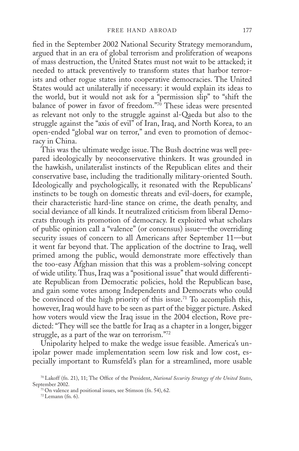fied in the September 2002 National Security Strategy memorandum, argued that in an era of global terrorism and proliferation of weapons of mass destruction, the United States must not wait to be attacked; it needed to attack preventively to transform states that harbor terrorists and other rogue states into cooperative democracies. The United States would act unilaterally if necessary: it would explain its ideas to the world, but it would not ask for a "permission slip" to "shift the balance of power in favor of freedom."70 These ideas were presented as relevant not only to the struggle against al-Qaeda but also to the struggle against the "axis of evil" of Iran, Iraq, and North Korea, to an open-ended "global war on terror," and even to promotion of democracy in China.

This was the ultimate wedge issue. The Bush doctrine was well prepared ideologically by neoconservative thinkers. It was grounded in the hawkish, unilateralist instincts of the Republican elites and their conservative base, including the traditionally military-oriented South. Ideologically and psychologically, it resonated with the Republicans' instincts to be tough on domestic threats and evil-doers, for example, their characteristic hard-line stance on crime, the death penalty, and social deviance of all kinds. It neutralized criticism from liberal Democrats through its promotion of democracy. It exploited what scholars of public opinion call a "valence" (or consensus) issue—the overriding security issues of concern to all Americans after September 11—but it went far beyond that. The application of the doctrine to Iraq, well primed among the public, would demonstrate more effectively than the too-easy Afghan mission that this was a problem-solving concept of wide utility. Thus, Iraq was a "positional issue" that would differentiate Republican from Democratic policies, hold the Republican base, and gain some votes among Independents and Democrats who could be convinced of the high priority of this issue.<sup>71</sup> To accomplish this, however, Iraq would have to be seen as part of the bigger picture. Asked how voters would view the Iraq issue in the 2004 election, Rove predicted: "They will see the battle for Iraq as a chapter in a longer, bigger struggle, as a part of the war on terrorism."72

Unipolarity helped to make the wedge issue feasible. America's unipolar power made implementation seem low risk and low cost, especially important to Rumsfeld's plan for a streamlined, more usable

72 Lemann (fn. 6).

<sup>70</sup> Lakoff (fn. 21), 11; The Office of the President, *National Security Strategy of the United States*, September 2002.

<sup>71</sup> On valence and positional issues, see Stimson (fn. 54), 62.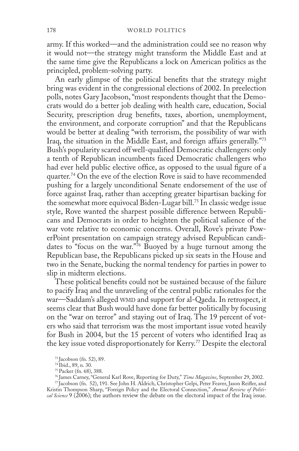army. If this worked—and the administration could see no reason why it would not—the strategy might transform the Middle East and at the same time give the Republicans a lock on American politics as the principled, problem-solving party.

An early glimpse of the political benefits that the strategy might bring was evident in the congressional elections of 2002. In preelection polls, notes Gary Jacobson, "most respondents thought that the Democrats would do a better job dealing with health care, education, Social Security, prescription drug benefits, taxes, abortion, unemployment, the environment, and corporate corruption" and that the Republicans would be better at dealing "with terrorism, the possibility of war with Iraq, the situation in the Middle East, and foreign affairs generally."73 Bush's popularity scared off well-qualified Democratic challengers: only a tenth of Republican incumbents faced Democratic challengers who had ever held public elective office, as opposed to the usual figure of a quarter.<sup>74</sup> On the eve of the election Rove is said to have recommended pushing for a largely unconditional Senate endorsement of the use of force against Iraq, rather than accepting greater bipartisan backing for the somewhat more equivocal Biden-Lugar bill.75 In classic wedge issue style, Rove wanted the sharpest possible difference between Republicans and Democrats in order to heighten the political salience of the war vote relative to economic concerns. Overall, Rove's private PowerPoint presentation on campaign strategy advised Republican candidates to "focus on the war."76 Buoyed by a huge turnout among the Republican base, the Republicans picked up six seats in the House and two in the Senate, bucking the normal tendency for parties in power to slip in midterm elections.

These political benefits could not be sustained because of the failure to pacify Iraq and the unraveling of the central public rationales for the war—Saddam's alleged WMD and support for al-Qaeda. In retrospect, it seems clear that Bush would have done far better politically by focusing on the "war on terror" and staying out of Iraq. The 19 percent of voters who said that terrorism was the most important issue voted heavily for Bush in 2004, but the 15 percent of voters who identified Iraq as the key issue voted disproportionately for Kerry.77 Despite the electoral

77 Jacobson (fn. 52), 191. See John H. Aldrich, Christopher Gelpi, Peter Feaver, Jason Reifler, and Kristin Thompson Sharp, "Foreign Policy and the Electoral Connection," *Annual Review of Political Science* 9 (2006); the authors review the debate on the electoral impact of the Iraq issue.

<sup>73</sup> Jacobson (fn. 52), 89.

<sup>74</sup> Ibid., 89, n. 30.

<sup>75</sup> Packer (fn. 68), 388.

<sup>76</sup> James Carney, "General Karl Rove, Reporting for Duty," *Time Magazine*, September 29, 2002.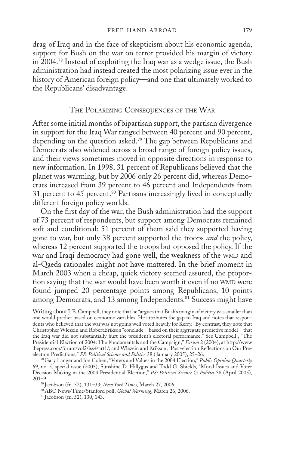drag of Iraq and in the face of skepticism about his economic agenda, support for Bush on the war on terror provided his margin of victory in 2004.78 Instead of exploiting the Iraq war as a wedge issue, the Bush administration had instead created the most polarizing issue ever in the history of American foreign policy—and one that ultimately worked to the Republicans' disadvantage.

### The Polarizing Consequences of the War

After some initial months of bipartisan support, the partisan divergence in support for the Iraq War ranged between 40 percent and 90 percent, depending on the question asked.79 The gap between Republicans and Democrats also widened across a broad range of foreign policy issues, and their views sometimes moved in opposite directions in response to new information. In 1998, 31 percent of Republicans believed that the planet was warming, but by 2006 only 26 percent did, whereas Democrats increased from 39 percent to 46 percent and Independents from 31 percent to 45 percent.<sup>80</sup> Partisans increasingly lived in conceptually different foreign policy worlds.

On the first day of the war, the Bush administration had the support of 73 percent of respondents, but support among Democrats remained soft and conditional: 51 percent of them said they supported having gone to war, but only 38 percent supported the troops *and* the policy, whereas 12 percent supported the troops but opposed the policy. If the war and Iraqi democracy had gone well, the weakness of the WMD and al-Qaeda rationales might not have mattered. In the brief moment in March 2003 when a cheap, quick victory seemed assured, the proportion saying that the war would have been worth it even if no WMD were found jumped 20 percentage points among Republicans, 10 points among Democrats, and 13 among Independents.<sup>81</sup> Success might have

Writing about J. E. Campbell, they note that he "argues that Bush's margin of victory was smaller than one would predict based on economic variables. He attributes the gap to Iraq and notes that respondents who believed that the war was not going well voted heavily for Kerry." By contrast, they note that Christopher Wlezein and RobertErikson "conclude—based on their aggregate predictive model—that the Iraq war did not substantially hurt the president's electoral performance." See Campbell , "The Presidential Election of 2004: The Fundamentals and the Campaign," *Forum* 2 (2004), at http://www .bepress.com/forum/vol2/iss4/art1/; and Wlezein and Erikson, "Post-election Reflections on Our Preelection Predictions," *PS: Political Science and Politics* 38 ( January 2005), 25–26.

<sup>78</sup> Gary Langer and Jon Cohen, "Voters and Values in the 2004 Election," *Public Opinion Quarterly* 69, no. 5, special issue (2005); Sunshine D. Hillygus and Todd G. Shields, "Moral Issues and Voter Decision Making in the 2004 Presidential Election," *PS: Political Science & Politics* 38 (April 2005), 201–9.

<sup>79</sup> Jacobson (fn. 52), 131–33; *New York Times*, March 27, 2006.

<sup>80</sup> ABC News/Time/Stanford poll, *Global Warming*, March 26, 2006.

<sup>81</sup> Jacobson (fn. 52), 130, 143.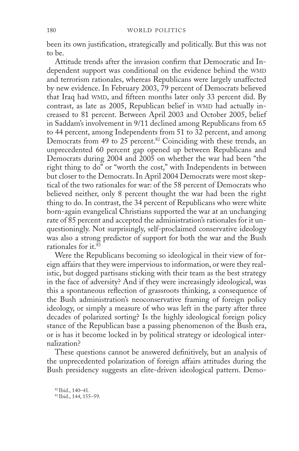been its own justification, strategically and politically. But this was not to be.

Attitude trends after the invasion confirm that Democratic and Independent support was conditional on the evidence behind the WMD and terrorism rationales, whereas Republicans were largely unaffected by new evidence. In February 2003, 79 percent of Democrats believed that Iraq had WMD, and fifteen months later only 33 percent did. By contrast, as late as 2005, Republican belief in WMD had actually increased to 81 percent. Between April 2003 and October 2005, belief in Saddam's involvement in 9/11 declined among Republicans from 65 to 44 percent, among Independents from 51 to 32 percent, and among Democrats from 49 to 25 percent.<sup>82</sup> Coinciding with these trends, an unprecedented 60 percent gap opened up between Republicans and Democrats during 2004 and 2005 on whether the war had been "the right thing to  $do^{\prime\prime}$  or "worth the cost," with Independents in between but closer to the Democrats. In April 2004 Democrats were most skeptical of the two rationales for war: of the 58 percent of Democrats who believed neither, only 8 percent thought the war had been the right thing to do. In contrast, the 34 percent of Republicans who were white born-again evangelical Christians supported the war at an unchanging rate of 85 percent and accepted the administration's rationales for it unquestioningly. Not surprisingly, self-proclaimed conservative ideology was also a strong predictor of support for both the war and the Bush rationales for it.<sup>83</sup>

Were the Republicans becoming so ideological in their view of foreign affairs that they were impervious to information, or were they realistic, but dogged partisans sticking with their team as the best strategy in the face of adversity? And if they were increasingly ideological, was this a spontaneous reflection of grassroots thinking, a consequence of the Bush administration's neoconservative framing of foreign policy ideology, or simply a measure of who was left in the party after three decades of polarized sorting? Is the highly ideological foreign policy stance of the Republican base a passing phenomenon of the Bush era, or is has it become locked in by political strategy or ideological internalization?

These questions cannot be answered definitively, but an analysis of the unprecedented polarization of foreign affairs attitudes during the Bush presidency suggests an elite-driven ideological pattern. Demo-

<sup>82</sup> Ibid., 140–41. 83 Ibid., 144, 155–59.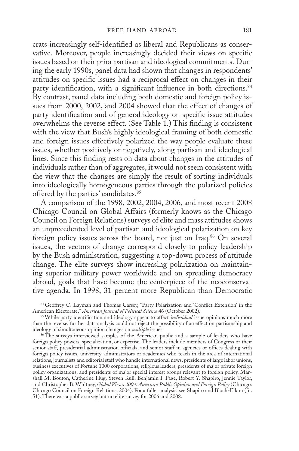crats increasingly self-identified as liberal and Republicans as conservative. Moreover, people increasingly decided their views on specific issues based on their prior partisan and ideological commitments. During the early 1990s, panel data had shown that changes in respondents' attitudes on specific issues had a reciprocal effect on changes in their party identification, with a significant influence in both directions.<sup>84</sup> By contrast, panel data including both domestic and foreign policy issues from 2000, 2002, and 2004 showed that the effect of changes of party identification and of general ideology on specific issue attitudes overwhelms the reverse effect. (See Table 1.) This finding is consistent with the view that Bush's highly ideological framing of both domestic and foreign issues effectively polarized the way people evaluate these issues, whether positively or negatively, along partisan and ideological lines. Since this finding rests on data about changes in the attitudes of individuals rather than of aggregates, it would not seem consistent with the view that the changes are simply the result of sorting individuals into ideologically homogeneous parties through the polarized policies offered by the parties' candidates.<sup>85</sup>

A comparison of the 1998, 2002, 2004, 2006, and most recent 2008 Chicago Council on Global Affairs (formerly knows as the Chicago Council on Foreign Relations) surveys of elite and mass attitudes shows an unprecedented level of partisan and ideological polarization on key foreign policy issues across the board, not just on Iraq.<sup>86</sup> On several issues, the vectors of change correspond closely to policy leadership by the Bush administration, suggesting a top-down process of attitude change. The elite surveys show increasing polarization on maintaining superior military power worldwide and on spreading democracy abroad, goals that have become the centerpiece of the neoconservative agenda. In 1998, 31 percent more Republican than Democratic

84 Geoffrey C. Layman and Thomas Carsey, "Party Polarization and 'Conflict Extension' in the American Electorate," *American Journal of Political Science* 46 (October 2002).

85 While party identification and ideology appear to affect *individual* issue opinions much more than the reverse, further data analysis could not reject the possibility of an effect on partisanship and ideology of simultaneous opinion changes on *multiple* issues.

<sup>86</sup> The surveys interviewed samples of the American public and a sample of leaders who have foreign policy powers, specialization, or expertise. The leaders include members of Congress or their senior staff, presidential administration officials, and senior staff in agencies or offices dealing with foreign policy issues, university administrators or academics who teach in the area of international relations, journalists and editorial staff who handle international news, presidents of large labor unions, business executives of Fortune 1000 corporations, religious leaders, presidents of major private foreign policy organizations, and presidents of major special interest groups relevant to foreign policy. Marshall M. Bouton, Catherine Hug, Steven Kull, Benjamin I. Page, Robert Y. Shapiro, Jennie Taylor, and Christopher B. Whitney, *Global Views 2004: American Public Opinion and Foreign Policy* (Chicago: Chicago Council on Foreign Relations, 2004). For a fuller analysis, see Shapiro and Bloch-Elkon (fn. 51). There was a public survey but no elite survey for 2006 and 2008.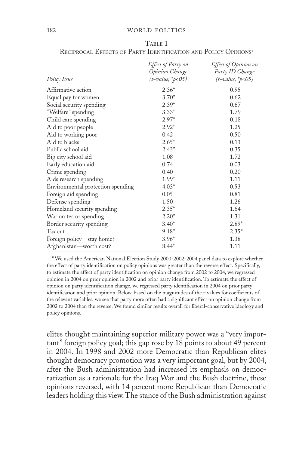| Policy Issue                      | Effect of Party on<br>Opinion Change<br>$(t$ -value, $*_{p}05)$ | Effect of Opinion on<br>Party ID Change<br>$(t$ -value, * $p$ <05) |
|-----------------------------------|-----------------------------------------------------------------|--------------------------------------------------------------------|
| Affirmative action                | $2.36*$                                                         | 0.95                                                               |
| Equal pay for women               | $3.70*$                                                         | 0.62                                                               |
| Social security spending          | $2.39*$                                                         | 0.67                                                               |
| "Welfare" spending                | $3.33*$                                                         | 1.79                                                               |
| Child care spending               | $2.97*$                                                         | 0.18                                                               |
| Aid to poor people                | $2.92*$                                                         | 1.25                                                               |
| Aid to working poor               | 0.42                                                            | 0.50                                                               |
| Aid to blacks                     | $2.65*$                                                         | 0.13                                                               |
| Public school aid                 | $2.43*$                                                         | 0.35                                                               |
| Big city school aid               | 1.08                                                            | 1.72                                                               |
| Early education aid               | 0.74                                                            | 0.03                                                               |
| Crime spending                    | 0.40                                                            | 0.20                                                               |
| Aids research spending            | 1.99*                                                           | 1.11                                                               |
| Environmental protection spending | $4.03*$                                                         | 0.53                                                               |
| Foreign aid spending              | 0.05                                                            | 0.81                                                               |
| Defense spending                  | 1.50                                                            | 1.26                                                               |
| Homeland security spending        | $2.35*$                                                         | 1.64                                                               |
| War on terror spending            | $2.20*$                                                         | 1.31                                                               |
| Border security spending          | $3.40*$                                                         | 2.89*                                                              |
| Tax cut                           | 9.18*                                                           | $2.35*$                                                            |
| Foreign policy-stay home?         | $3.96*$                                                         | 1.38                                                               |
| Afghanistan-worth cost?           | $8.44*$                                                         | 1.11                                                               |

TABLE 1 Reciprocal Effects of Party Identification and Policy Opinions<sup>a</sup>

<sup>a</sup> We used the American National Election Study 2000-2002-2004 panel data to explore whether the effect of party identification on policy opinions was greater than the reverse effect. Specifically, to estimate the effect of party identification on opinion change from 2002 to 2004, we regressed opinion in 2004 on prior opinion in 2002 and prior party identification. To estimate the effect of opinion on party identification change, we regressed party identification in 2004 on prior party identification and prior opinion. Below, based on the magnitudes of the t-values for coefficients of the relevant variables, we see that party more often had a significant effect on opinion change from 2002 to 2004 than the reverse. We found similar results overall for liberal-conservative ideology and policy opinions.

elites thought maintaining superior military power was a "very important" foreign policy goal; this gap rose by 18 points to about 49 percent in 2004. In 1998 and 2002 more Democratic than Republican elites thought democracy promotion was a very important goal, but by 2004, after the Bush administration had increased its emphasis on democratization as a rationale for the Iraq War and the Bush doctrine, these opinions reversed, with 14 percent more Republican than Democratic leaders holding this view. The stance of the Bush administration against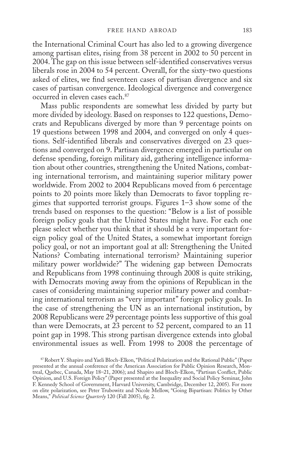the International Criminal Court has also led to a growing divergence among partisan elites, rising from 38 percent in 2002 to 50 percent in 2004. The gap on this issue between self-identified conservatives versus liberals rose in 2004 to 54 percent. Overall, for the sixty-two questions asked of elites, we find seventeen cases of partisan divergence and six cases of partisan convergence. Ideological divergence and convergence occurred in eleven cases each.87

Mass public respondents are somewhat less divided by party but more divided by ideology. Based on responses to 122 questions, Democrats and Republicans diverged by more than 9 percentage points on 19 questions between 1998 and 2004, and converged on only 4 questions. Self-identified liberals and conservatives diverged on 23 questions and converged on 9. Partisan divergence emerged in particular on defense spending, foreign military aid, gathering intelligence information about other countries, strengthening the United Nations, combating international terrorism, and maintaining superior military power worldwide. From 2002 to 2004 Republicans moved from 6 percentage points to 20 points more likely than Democrats to favor toppling regimes that supported terrorist groups. Figures 1–3 show some of the trends based on responses to the question: "Below is a list of possible foreign policy goals that the United States might have. For each one please select whether you think that it should be a very important foreign policy goal of the United States, a somewhat important foreign policy goal, or not an important goal at all: Strengthening the United Nations? Combating international terrorism? Maintaining superior military power worldwide?" The widening gap between Democrats and Republicans from 1998 continuing through 2008 is quite striking, with Democrats moving away from the opinions of Republican in the cases of considering maintaining superior military power and combating international terrorism as "very important" foreign policy goals. In the case of strengthening the UN as an international institution, by 2008 Republicans were 29 percentage points less supportive of this goal than were Democrats, at 23 percent to 52 percent, compared to an 11 point gap in 1998. This strong partisan divergence extends into global environmental issues as well. From 1998 to 2008 the percentage of

<sup>87</sup> Robert Y. Shapiro and Yaeli Bloch-Elkon, "Political Polarization and the Rational Public" (Paper presented at the annual conference of the American Association for Public Opinion Research, Montreal, Quebec, Canada, May 18–21, 2006); and Shapiro and Bloch-Elkon, "Partisan Conflict, Public Opinion, and U.S. Foreign Policy" (Paper presented at the Inequality and Social Policy Seminar, John F. Kennedy School of Government, Harvard University, Cambridge, December 12, 2005). For more on elite polarization, see Peter Trubowitz and Nicole Mellow, "Going Bipartisan: Politics by Other Means," *Political Science Quarterly* 120 (Fall 2005), fig. 2.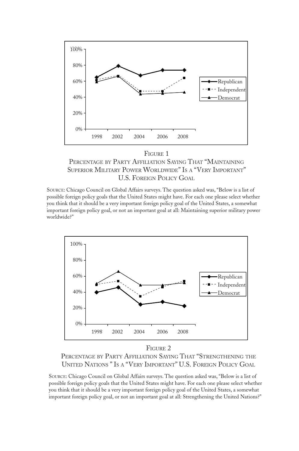

#### FIGURE 1

PERCENTAGE BY PARTY AFFILIATION SAYING THAT "MAINTAINING 1 ERCENTAGE BY I ARTY AFFILIATION SATING I HAT TWAINTAINING<br>SUPERIOR MILITARY POWER WORLDWIDE" IS A "VERY IMPORTANT" U.S. FOREIGN POLICY GOAL SUPERIOR MILITARY POWER WORLDWIDE IS A VERY IMPORTANT

SoUrce: chicago council on Global Affairs surveys. The question asked was, "Below is a list of possible foreign policy goals that the United States might have. For each one please select whether possible foreign policy goals that the Officer states hight have. For each one please select whether<br>you think that it should be a very important foreign policy goal of the United States, a somewhat you uning that it should be a very important foreign policy goal of the Office States, a somewhat<br>important foreign policy goal, or not an important goal at all: Maintaining superior military power worldwide?" whether you think that it should be a very interest in the United States, and the United States, and I was a very states, and the United States, and the United States, and the United States, and the United States, and the  $s^2$  important for an important goal, or not an important goal, or not an important goal at all:  $M$ 



#### FIGURE 2

PERCENTAGE BY PARTY AFFILIATION SAYING THAT "STRENGTHENING THE UNITED NATIONS " IS A "VERY IMPORTANT" U.S. FOREIGN POLICY GOAL PERCENTAGE BY PARTISTS AFFILIATIONS IS A VERY IMPORTANT U.S. FOREIGN FOLICY GOAL

SOURCE: Chicago Council on Global Affairs surveys. The question asked was, "Below is a list of possible foreign policy goals that the United States might have. For each one please select whether you think that it should be a very important foreign policy goal of the United States, a somewhat .<br>Important foreign policy goal, or not an important goal at all: Strengthening the United Nations?"  $\mathcal{P}$  possible foreign policy goals that the United States might have. For each one please selection  $\mathcal{P}$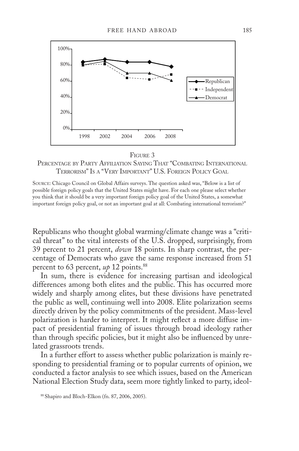

#### FIGURE 3

### PERCENTAGE BY PARTY AFFILIATION SAYING THAT "COMBATING INTERNATIONAL TERRORISM" IS A "VERY IMPORTANT" U.S. FOREIGN POLICY GOAL

SOURCE: Chicago Council on Global Affairs surveys. The question asked was, "Below is a list of possible foreign policy goals that the United States might have. For each one please select whether you think that it should be a very important foreign policy goal of the United States, a somewhat four difficult and a should be a very important foreign policy goal or the officer orders, a somewhat important foreign policy goal, or not an important goal at all: Combating international terrorism?" of possible foreign policies in the United States might have the United States might have. For each one please

Republicans who thought global warming/climate change was a "critical threat" to the vital interests of the U.S. dropped, surprisingly, from 39 percent to 21 percent, *down* 18 points. In sharp contrast, the percentage of Democrats who gave the same response increased from 51 percent to 63 percent, *up* 12 points.<sup>88</sup>

In sum, there is evidence for increasing partisan and ideological differences among both elites and the public. This has occurred more widely and sharply among elites, but these divisions have penetrated the public as well, continuing well into 2008. Elite polarization seems directly driven by the policy commitments of the president. Mass-level polarization is harder to interpret. It might reflect a more diffuse impact of presidential framing of issues through broad ideology rather than through specific policies, but it might also be influenced by unrelated grassroots trends.

In a further effort to assess whether public polarization is mainly responding to presidential framing or to popular currents of opinion, we conducted a factor analysis to see which issues, based on the American National Election Study data, seem more tightly linked to party, ideol-

<sup>88</sup> Shapiro and Bloch-Elkon (fn. 87, 2006, 2005).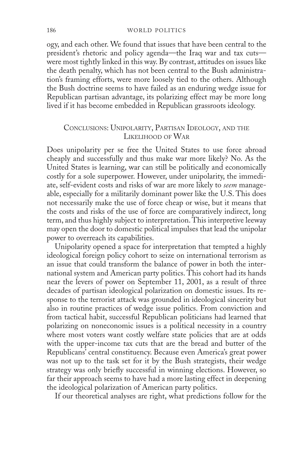### 186 world politics

ogy, and each other. We found that issues that have been central to the president's rhetoric and policy agenda—the Iraq war and tax cuts were most tightly linked in this way. By contrast, attitudes on issues like the death penalty, which has not been central to the Bush administration's framing efforts, were more loosely tied to the others. Although the Bush doctrine seems to have failed as an enduring wedge issue for Republican partisan advantage, its polarizing effect may be more long lived if it has become embedded in Republican grassroots ideology.

# Conclusions: Unipolarity, Partisan Ideology, and the Likelihood of War

Does unipolarity per se free the United States to use force abroad cheaply and successfully and thus make war more likely? No. As the United States is learning, war can still be politically and economically costly for a sole superpower. However, under unipolarity, the immediate, self-evident costs and risks of war are more likely to *seem* manageable, especially for a militarily dominant power like the U.S. This does not necessarily make the use of force cheap or wise, but it means that the costs and risks of the use of force are comparatively indirect, long term, and thus highly subject to interpretation. This interpretive leeway may open the door to domestic political impulses that lead the unipolar power to overreach its capabilities.

Unipolarity opened a space for interpretation that tempted a highly ideological foreign policy cohort to seize on international terrorism as an issue that could transform the balance of power in both the international system and American party politics. This cohort had its hands near the levers of power on September 11, 2001, as a result of three decades of partisan ideological polarization on domestic issues. Its response to the terrorist attack was grounded in ideological sincerity but also in routine practices of wedge issue politics. From conviction and from tactical habit, successful Republican politicians had learned that polarizing on noneconomic issues is a political necessity in a country where most voters want costly welfare state policies that are at odds with the upper-income tax cuts that are the bread and butter of the Republicans' central constituency. Because even America's great power was not up to the task set for it by the Bush strategists, their wedge strategy was only briefly successful in winning elections. However, so far their approach seems to have had a more lasting effect in deepening the ideological polarization of American party politics.

If our theoretical analyses are right, what predictions follow for the